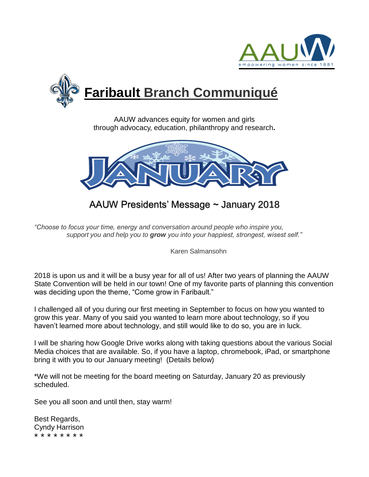



AAUW advances equity for women and girls through advocacy, education, philanthropy and research**.**



AAUW Presidents' Message ~ January 2018

*"Choose to focus your time, energy and conversation around people who inspire you, support you and help you to grow you into your happiest, strongest, wisest self."*

Karen Salmansohn

2018 is upon us and it will be a busy year for all of us! After two years of planning the AAUW State Convention will be held in our town! One of my favorite parts of planning this convention was deciding upon the theme, "Come grow in Faribault."

I challenged all of you during our first meeting in September to focus on how you wanted to grow this year. Many of you said you wanted to learn more about technology, so if you haven't learned more about technology, and still would like to do so, you are in luck.

I will be sharing how Google Drive works along with taking questions about the various Social Media choices that are available. So, if you have a laptop, chromebook, iPad, or smartphone bring it with you to our January meeting! (Details below)

\*We will not be meeting for the board meeting on Saturday, January 20 as previously scheduled.

See you all soon and until then, stay warm!

Best Regards, Cyndy Harrison \* \* \* \* \* \* \* \*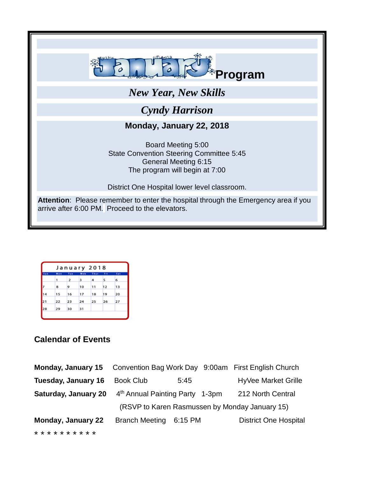

| January 2018 |     |     |     |      |     |     |
|--------------|-----|-----|-----|------|-----|-----|
| Sun          | Men | Tue | Web | Thur | Fri | Sat |
|              | 1   | 2   | з   | 4    | 5   | 6   |
|              | 8   | 9   | 10  | 11   | 12  | 13  |
| 4            | 15  | 16  | 17  | 18   | 19  | 20  |
| 21           | 22  | 23  | 24  | 25   | 26  | 27  |
| 28           | 29  | 30  | 31  |      |     |     |
|              |     |     |     |      |     |     |

## **Calendar of Events**

| Monday, January 15          |                                                |         |  | Convention Bag Work Day 9:00am First English Church |  |
|-----------------------------|------------------------------------------------|---------|--|-----------------------------------------------------|--|
| Tuesday, January 16         | <b>Book Club</b>                               | 5:45    |  | <b>HyVee Market Grille</b>                          |  |
| <b>Saturday, January 20</b> | 4 <sup>th</sup> Annual Painting Party 1-3pm    |         |  | 212 North Central                                   |  |
|                             | (RSVP to Karen Rasmussen by Monday January 15) |         |  |                                                     |  |
| <b>Monday, January 22</b>   | <b>Branch Meeting</b>                          | 6:15 PM |  | <b>District One Hospital</b>                        |  |
| * * * * * * * * * *         |                                                |         |  |                                                     |  |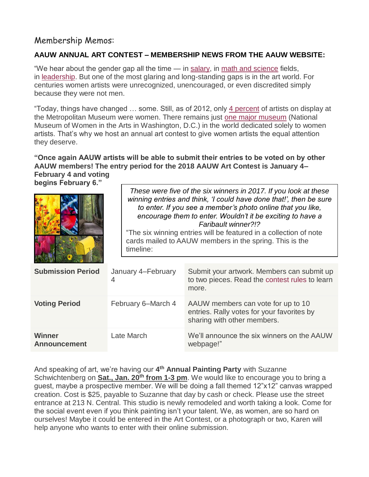# Membership Memos:

## **[AAUW ANNUAL ART CONTEST](https://www.aauw.org/contests/) – MEMBERSHIP NEWS FROM THE AAUW WEBSITE:**

"We hear about the gender gap all the time — in [salary,](https://www.aauw.org/article/faq-about-the-gender-pay-gap/) in [math and science](https://www.aauw.org/what-we-do/stem-education/) fields, in [leadership.](https://www.aauw.org/research/barriers-and-bias/) But one of the most glaring and long-standing gaps is in the art world. For centuries women artists were unrecognized, unencouraged, or even discredited simply because they were not men.

"Today, things have changed … some. Still, as of 2012, only [4 percent](https://nmwa.org/advocate/get-facts) of artists on display at the Metropolitan Museum were women. There remains just [one major museum](https://nmwa.org/) (National Museum of Women in the Arts in Washington, D.C.) in the world dedicated solely to women artists. That's why we host an annual art contest to give women artists the equal attention they deserve.

## **"Once again AAUW artists will be able to submit their entries to be voted on by other AAUW members! The entry period for the 2018 AAUW Art Contest is January 4– February 4 and voting**

**begins February 6."**

|                                      | timeline:               | These were five of the six winners in 2017. If you look at these<br>winning entries and think, 'I could have done that!', then be sure<br>to enter. If you see a member's photo online that you like,<br>encourage them to enter. Wouldn't it be exciting to have a<br>Faribault winner?!?<br>"The six winning entries will be featured in a collection of note<br>cards mailed to AAUW members in the spring. This is the |  |  |  |  |
|--------------------------------------|-------------------------|----------------------------------------------------------------------------------------------------------------------------------------------------------------------------------------------------------------------------------------------------------------------------------------------------------------------------------------------------------------------------------------------------------------------------|--|--|--|--|
| <b>Submission Period</b>             | January 4-February<br>4 | Submit your artwork. Members can submit up<br>to two pieces. Read the contest rules to learn<br>more.                                                                                                                                                                                                                                                                                                                      |  |  |  |  |
| <b>Voting Period</b>                 | February 6–March 4      | AAUW members can vote for up to 10<br>entries. Rally votes for your favorites by<br>sharing with other members.                                                                                                                                                                                                                                                                                                            |  |  |  |  |
| <b>Winner</b><br><b>Announcement</b> | Late March              | We'll announce the six winners on the AAUW<br>webpage!"                                                                                                                                                                                                                                                                                                                                                                    |  |  |  |  |

And speaking of art, we're having our **4 th Annual Painting Party** with Suzanne Schwichtenberg on **Sat., Jan. 20th from 1-3 pm**. We would like to encourage you to bring a guest, maybe a prospective member. We will be doing a fall themed 12"x12" canvas wrapped creation. Cost is \$25, payable to Suzanne that day by cash or check. Please use the street entrance at 213 N. Central. This studio is newly remodeled and worth taking a look. Come for the social event even if you think painting isn't your talent. We, as women, are so hard on ourselves! Maybe it could be entered in the Art Contest, or a photograph or two, Karen will help anyone who wants to enter with their online submission.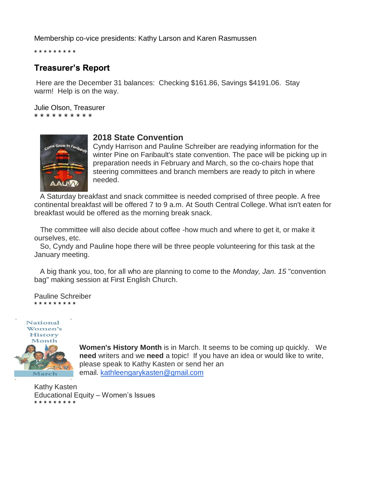Membership co-vice presidents: Kathy Larson and Karen Rasmussen

\* \* \* \* \* \* \* \* \*

## **Treasurer's Report**

Here are the December 31 balances: Checking \$161.86, Savings \$4191.06. Stay warm! Help is on the way.

Julie Olson, Treasurer \* \* \* \* \* \* \* \* \* \*



### **2018 State Convention**

Cyndy Harrison and Pauline Schreiber are readying information for the winter Pine on Faribault's state convention. The pace will be picking up in preparation needs in February and March, so the co-chairs hope that steering committees and branch members are ready to pitch in where needed.

A Saturday breakfast and snack committee is needed comprised of three people. A free continental breakfast will be offered 7 to 9 a.m. At South Central College. What isn't eaten for breakfast would be offered as the morning break snack.

The committee will also decide about coffee -how much and where to get it, or make it ourselves, etc.

So, Cyndy and Pauline hope there will be three people volunteering for this task at the January meeting.

A big thank you, too, for all who are planning to come to the *Monday, Jan. 15* "convention bag" making session at First English Church.

Pauline Schreiber \* \* \* \* \* \* \* \* \*



**Women's History Month** is in March. It seems to be coming up quickly. We **need** writers and we **need** a topic! If you have an idea or would like to write, please speak to Kathy Kasten or send her an email. [kathleengarykasten@gmail.com](mailto:kathleengarykasten@gmail.com)

Kathy Kasten Educational Equity – Women's Issues \* \* \* \* \* \* \* \* \*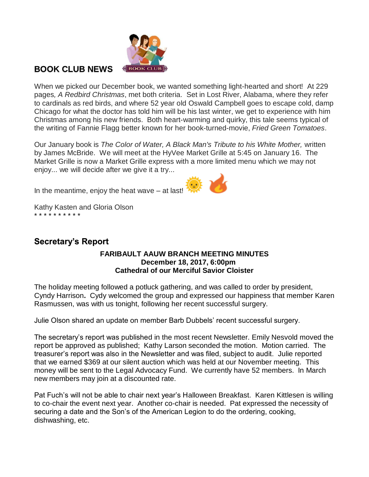

# **BOOK CLUB NEWS**

When we picked our December book, we wanted something light-hearted and short! At 229 pages*, A Redbird Christmas*, met both criteria. Set in Lost River, Alabama, where they refer to cardinals as red birds, and where 52 year old Oswald Campbell goes to escape cold, damp Chicago for what the doctor has told him will be his last winter, we get to experience with him Christmas among his new friends. Both heart-warming and quirky, this tale seems typical of the writing of Fannie Flagg better known for her book-turned-movie, *Fried Green Tomatoes*.

Our January book is *The Color of Water, A Black Man's Tribute to his White Mother,* written by James McBride. We will meet at the HyVee Market Grille at 5:45 on January 16. **The Market Grille is now a Market Grille express with a more limited menu which we may not enjoy... we will decide after we give it a try...**

**In the meantime, enjoy the heat wave – at last!**



Kathy Kasten and Gloria Olson \* \* \* \* \* \* \* \* \* \*

# **Secretary's Report**

#### **FARIBAULT AAUW BRANCH MEETING MINUTES December 18, 2017, 6:00pm Cathedral of our Merciful Savior Cloister**

The holiday meeting followed a potluck gathering, and was called to order by president, Cyndy Harrison**.** Cydy welcomed the group and expressed our happiness that member Karen Rasmussen, was with us tonight, following her recent successful surgery.

Julie Olson shared an update on member Barb Dubbels' recent successful surgery.

The secretary's report was published in the most recent Newsletter. Emily Nesvold moved the report be approved as published; Kathy Larson seconded the motion. Motion carried. The treasurer's report was also in the Newsletter and was filed, subject to audit. Julie reported that we earned \$369 at our silent auction which was held at our November meeting. This money will be sent to the Legal Advocacy Fund. We currently have 52 members. In March new members may join at a discounted rate.

Pat Fuch's will not be able to chair next year's Halloween Breakfast. Karen Kittlesen is willing to co-chair the event next year. Another co-chair is needed. Pat expressed the necessity of securing a date and the Son's of the American Legion to do the ordering, cooking, dishwashing, etc.